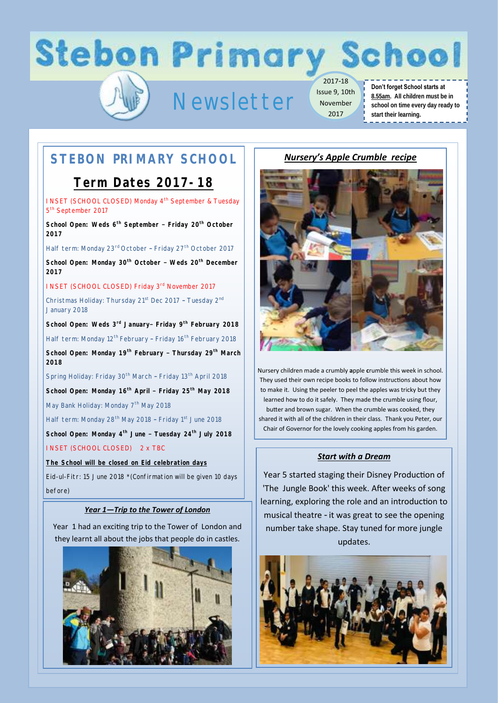# **Stebon Primary School**

## Newsletter

2017-18 Issue 9, 10th November 2017

### **Don't forget School starts at 8.55am. All children must be in school on time every day ready to start their learning.**

### -------------

### **STEBON PRIMARY SCHOOL**

### **Term Dates 2017-18**

INSET (SCHOOL CLOSED) Monday 4<sup>th</sup> September & Tuesday 5<sup>th</sup> September 2017

**School Open: Weds 6th September – Friday 20th October 2017**

Half term: Monday 23<sup>rd</sup> October - Friday 27<sup>th</sup> October 2017

**School Open: Monday 30th October – Weds 20th December 2017** 

INSET (SCHOOL CLOSED) Friday 3rd November 2017

Christmas Holiday: Thursday 21<sup>st</sup> Dec 2017 - Tuesday 2<sup>nd</sup> January 2018

**School Open: Weds 3rd January– Friday 9th February 2018**

Half term: Monday 12<sup>th</sup> February - Friday 16<sup>th</sup> February 2018

**School Open: Monday 19th February – Thursday 29th March 2018**

Spring Holiday: Friday 30<sup>th</sup> March - Friday 13<sup>th</sup> April 2018

**School Open: Monday 16th April – Friday 25th May 2018**

May Bank Holiday: Monday 7<sup>th</sup> May 2018

Half term: Monday 28<sup>th</sup> May 2018 - Friday 1<sup>st</sup> June 2018

**School Open: Monday 4th June – Tuesday 24th July 2018**

INSET (SCHOOL CLOSED) 2 x TBC

**The School will be closed on Eid celebration days**

Eid-ul-Fitr: 15 June 2018 \*(Confirmation will be given 10 days before)

### *Year 1—Trip to the Tower of London*

Year 1 had an exciting trip to the Tower of London and they learnt all about the jobs that people do in castles.



*Nursery's Apple Crumble recipe*



Nursery children made a crumbly **a**pple **c**rumble this week in school. They used their own recipe books to follow instructions about how to make it. Using the peeler to peel the apples was tricky but they learned how to do it safely. They made the crumble using flour, butter and brown sugar. When the crumble was cooked, they shared it with all of the children in their class. Thank you Peter, our Chair of Governor for the lovely cooking apples from his garden.

### *Start with a Dream*

Year 5 started staging their Disney Production of 'The Jungle Book' this week. After weeks of song learning, exploring the role and an introduction to musical theatre - it was great to see the opening number take shape. Stay tuned for more jungle updates.